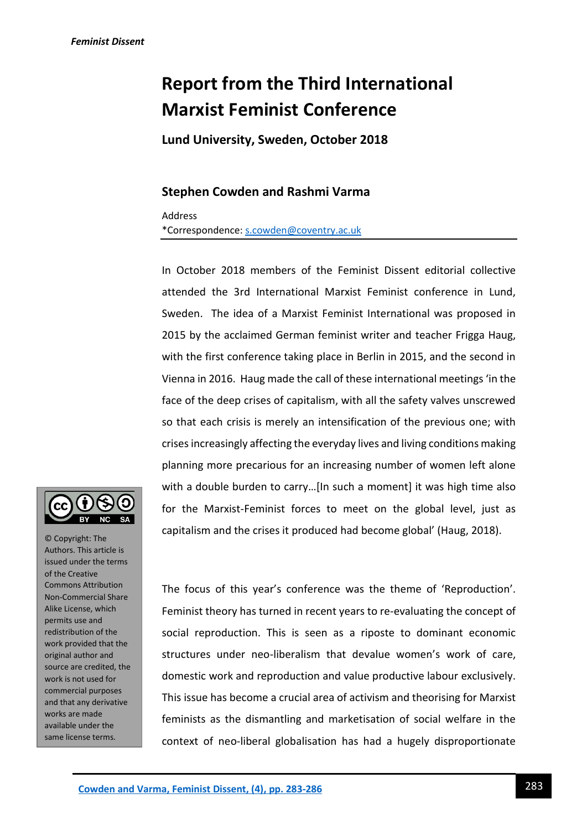## **Report from the Third International Marxist Feminist Conference**

**Lund University, Sweden, October 2018**

## **Stephen Cowden and Rashmi Varma**

Address

\*Correspondence[: s.cowden@coventry.ac.uk](mailto:s.cowden@coventry.ac.uk)

In October 2018 members of the Feminist Dissent editorial collective attended the 3rd International Marxist Feminist conference in Lund, Sweden. The idea of a Marxist Feminist International was proposed in 2015 by the acclaimed German feminist writer and teacher Frigga Haug, with the first conference taking place in Berlin in 2015, and the second in Vienna in 2016. Haug made the call of these international meetings 'in the face of the deep crises of capitalism, with all the safety valves unscrewed so that each crisis is merely an intensification of the previous one; with crises increasingly affecting the everyday lives and living conditions making planning more precarious for an increasing number of women left alone with a double burden to carry…[In such a moment] it was high time also for the Marxist-Feminist forces to meet on the global level, just as capitalism and the crises it produced had become global' (Haug, 2018).



© Copyright: The Authors. This article is issued under the terms of the Creative Commons Attribution Non-Commercial Share Alike License, which permits use and redistribution of the work provided that the original author and source are credited, the work is not used for commercial purposes and that any derivative works are made available under the same license terms.

The focus of this year's conference was the theme of 'Reproduction'. Feminist theory has turned in recent years to re-evaluating the concept of social reproduction. This is seen as a riposte to dominant economic structures under neo-liberalism that devalue women's work of care, domestic work and reproduction and value productive labour exclusively. This issue has become a crucial area of activism and theorising for Marxist feminists as the dismantling and marketisation of social welfare in the context of neo-liberal globalisation has had a hugely disproportionate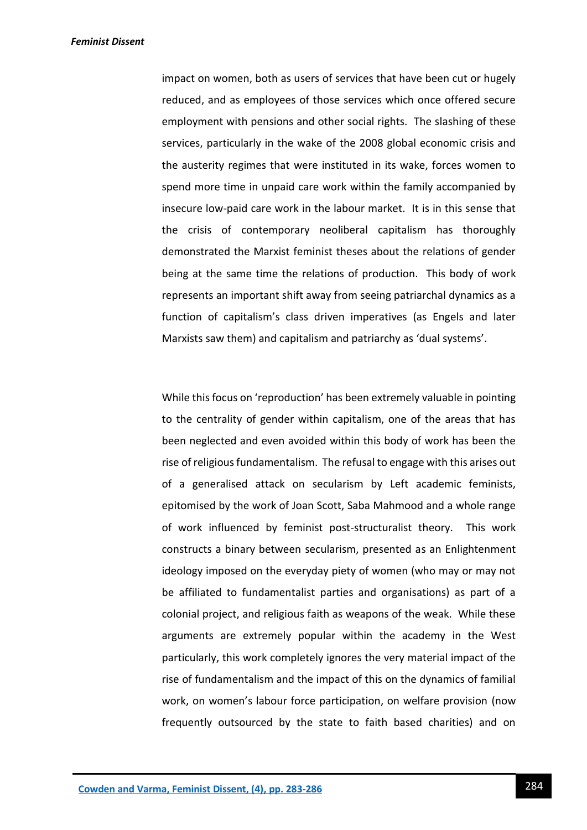impact on women, both as users of services that have been cut or hugely reduced, and as employees of those services which once offered secure employment with pensions and other social rights. The slashing of these services, particularly in the wake of the 2008 global economic crisis and the austerity regimes that were instituted in its wake, forces women to spend more time in unpaid care work within the family accompanied by insecure low-paid care work in the labour market. It is in this sense that the crisis of contemporary neoliberal capitalism has thoroughly demonstrated the Marxist feminist theses about the relations of gender being at the same time the relations of production. This body of work represents an important shift away from seeing patriarchal dynamics as a function of capitalism's class driven imperatives (as Engels and later Marxists saw them) and capitalism and patriarchy as 'dual systems'.

While this focus on 'reproduction' has been extremely valuable in pointing to the centrality of gender within capitalism, one of the areas that has been neglected and even avoided within this body of work has been the rise of religious fundamentalism. The refusal to engage with this arises out of a generalised attack on secularism by Left academic feminists, epitomised by the work of Joan Scott, Saba Mahmood and a whole range of work influenced by feminist post-structuralist theory. This work constructs a binary between secularism, presented as an Enlightenment ideology imposed on the everyday piety of women (who may or may not be affiliated to fundamentalist parties and organisations) as part of a colonial project, and religious faith as weapons of the weak. While these arguments are extremely popular within the academy in the West particularly, this work completely ignores the very material impact of the rise of fundamentalism and the impact of this on the dynamics of familial work, on women's labour force participation, on welfare provision (now frequently outsourced by the state to faith based charities) and on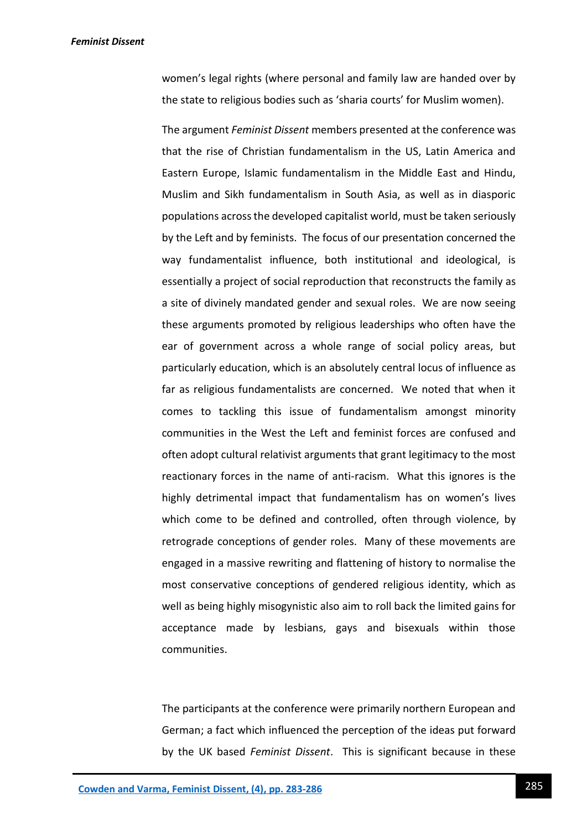*Feminist Dissent*

women's legal rights (where personal and family law are handed over by the state to religious bodies such as 'sharia courts' for Muslim women).

The argument *Feminist Dissent* members presented at the conference was that the rise of Christian fundamentalism in the US, Latin America and Eastern Europe, Islamic fundamentalism in the Middle East and Hindu, Muslim and Sikh fundamentalism in South Asia, as well as in diasporic populations across the developed capitalist world, must be taken seriously by the Left and by feminists. The focus of our presentation concerned the way fundamentalist influence, both institutional and ideological, is essentially a project of social reproduction that reconstructs the family as a site of divinely mandated gender and sexual roles. We are now seeing these arguments promoted by religious leaderships who often have the ear of government across a whole range of social policy areas, but particularly education, which is an absolutely central locus of influence as far as religious fundamentalists are concerned. We noted that when it comes to tackling this issue of fundamentalism amongst minority communities in the West the Left and feminist forces are confused and often adopt cultural relativist arguments that grant legitimacy to the most reactionary forces in the name of anti-racism. What this ignores is the highly detrimental impact that fundamentalism has on women's lives which come to be defined and controlled, often through violence, by retrograde conceptions of gender roles. Many of these movements are engaged in a massive rewriting and flattening of history to normalise the most conservative conceptions of gendered religious identity, which as well as being highly misogynistic also aim to roll back the limited gains for acceptance made by lesbians, gays and bisexuals within those communities.

The participants at the conference were primarily northern European and German; a fact which influenced the perception of the ideas put forward by the UK based *Feminist Dissent*. This is significant because in these